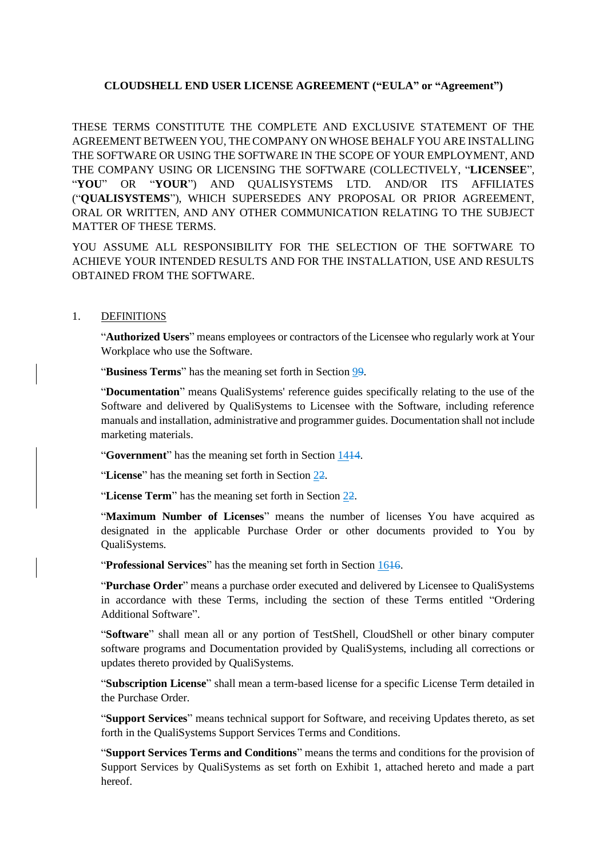# **CLOUDSHELL END USER LICENSE AGREEMENT ("EULA" or "Agreement")**

THESE TERMS CONSTITUTE THE COMPLETE AND EXCLUSIVE STATEMENT OF THE AGREEMENT BETWEEN YOU, THE COMPANY ON WHOSE BEHALF YOU ARE INSTALLING THE SOFTWARE OR USING THE SOFTWARE IN THE SCOPE OF YOUR EMPLOYMENT, AND THE COMPANY USING OR LICENSING THE SOFTWARE (COLLECTIVELY, "**LICENSEE**", "**YOU**" OR "**YOUR**") AND QUALISYSTEMS LTD. AND/OR ITS AFFILIATES ("**QUALISYSTEMS**"), WHICH SUPERSEDES ANY PROPOSAL OR PRIOR AGREEMENT, ORAL OR WRITTEN, AND ANY OTHER COMMUNICATION RELATING TO THE SUBJECT MATTER OF THESE TERMS.

YOU ASSUME ALL RESPONSIBILITY FOR THE SELECTION OF THE SOFTWARE TO ACHIEVE YOUR INTENDED RESULTS AND FOR THE INSTALLATION, USE AND RESULTS OBTAINED FROM THE SOFTWARE.

# 1. DEFINITIONS

"**Authorized Users**" means employees or contractors of the Licensee who regularly work at Your Workplace who use the Software.

"**Business Terms**" has the meaning set forth in Section [99.](#page-3-0)

"**Documentation**" means QualiSystems' reference guides specifically relating to the use of the Software and delivered by QualiSystems to Licensee with the Software, including reference manuals and installation, administrative and programmer guides. Documentation shall not include marketing materials.

"**Government**" has the meaning set forth in Section [1414.](#page-6-0)

"**License**" has the meaning set forth in Section [22.](#page-1-0)

"**License Term**" has the meaning set forth in Section [22.](#page-1-0)

"**Maximum Number of Licenses**" means the number of licenses You have acquired as designated in the applicable Purchase Order or other documents provided to You by QualiSystems.

"**Professional Services**" has the meaning set forth in Section [1616.](#page-6-1)

"**Purchase Order**" means a purchase order executed and delivered by Licensee to QualiSystems in accordance with these Terms, including the section of these Terms entitled "Ordering Additional Software".

"**Software**" shall mean all or any portion of TestShell, CloudShell or other binary computer software programs and Documentation provided by QualiSystems, including all corrections or updates thereto provided by QualiSystems.

"**Subscription License**" shall mean a term-based license for a specific License Term detailed in the Purchase Order.

"**Support Services**" means technical support for Software, and receiving Updates thereto, as set forth in the QualiSystems Support Services Terms and Conditions.

"**Support Services Terms and Conditions**" means the terms and conditions for the provision of Support Services by QualiSystems as set forth on Exhibit 1, attached hereto and made a part hereof.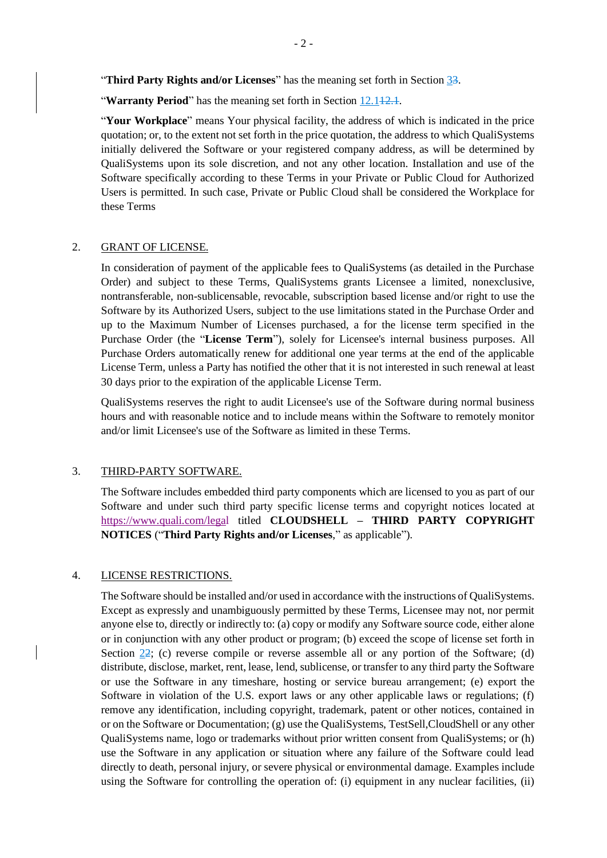"**Third Party Rights and/or Licenses**" has the meaning set forth in Section [33.](#page-1-1)

**"Warranty Period**" has the meaning set forth in Section 12.142.4.

"**Your Workplace**" means Your physical facility, the address of which is indicated in the price quotation; or, to the extent not set forth in the price quotation, the address to which QualiSystems initially delivered the Software or your registered company address, as will be determined by QualiSystems upon its sole discretion, and not any other location. Installation and use of the Software specifically according to these Terms in your Private or Public Cloud for Authorized Users is permitted. In such case, Private or Public Cloud shall be considered the Workplace for these Terms

#### <span id="page-1-0"></span>2. GRANT OF LICENSE.

In consideration of payment of the applicable fees to QualiSystems (as detailed in the Purchase Order) and subject to these Terms, QualiSystems grants Licensee a limited, nonexclusive, nontransferable, non-sublicensable, revocable, subscription based license and/or right to use the Software by its Authorized Users, subject to the use limitations stated in the Purchase Order and up to the Maximum Number of Licenses purchased, a for the license term specified in the Purchase Order (the "**License Term**"), solely for Licensee's internal business purposes. All Purchase Orders automatically renew for additional one year terms at the end of the applicable License Term, unless a Party has notified the other that it is not interested in such renewal at least 30 days prior to the expiration of the applicable License Term.

QualiSystems reserves the right to audit Licensee's use of the Software during normal business hours and with reasonable notice and to include means within the Software to remotely monitor and/or limit Licensee's use of the Software as limited in these Terms.

#### <span id="page-1-1"></span>3. THIRD-PARTY SOFTWARE.

The Software includes embedded third party components which are licensed to you as part of our Software and under such third party specific license terms and copyright notices located at https:[//www.quali.com/legal tit](http://www.quali.com/legal)led **CLOUDSHELL – THIRD PARTY COPYRIGHT NOTICES** ("**Third Party Rights and/or Licenses**," as applicable").

#### 4. LICENSE RESTRICTIONS.

The Software should be installed and/or used in accordance with the instructions of QualiSystems. Except as expressly and unambiguously permitted by these Terms, Licensee may not, nor permit anyone else to, directly or indirectly to: (a) copy or modify any Software source code, either alone or in conjunction with any other product or program; (b) exceed the scope of license set forth in Section  $2\overline{2}$ ; (c) reverse compile or reverse assemble all or any portion of the Software; (d) distribute, disclose, market, rent, lease, lend, sublicense, or transfer to any third party the Software or use the Software in any timeshare, hosting or service bureau arrangement; (e) export the Software in violation of the U.S. export laws or any other applicable laws or regulations; (f) remove any identification, including copyright, trademark, patent or other notices, contained in or on the Software or Documentation; (g) use the QualiSystems, TestSell,CloudShell or any other QualiSystems name, logo or trademarks without prior written consent from QualiSystems; or (h) use the Software in any application or situation where any failure of the Software could lead directly to death, personal injury, or severe physical or environmental damage. Examples include using the Software for controlling the operation of: (i) equipment in any nuclear facilities, (ii)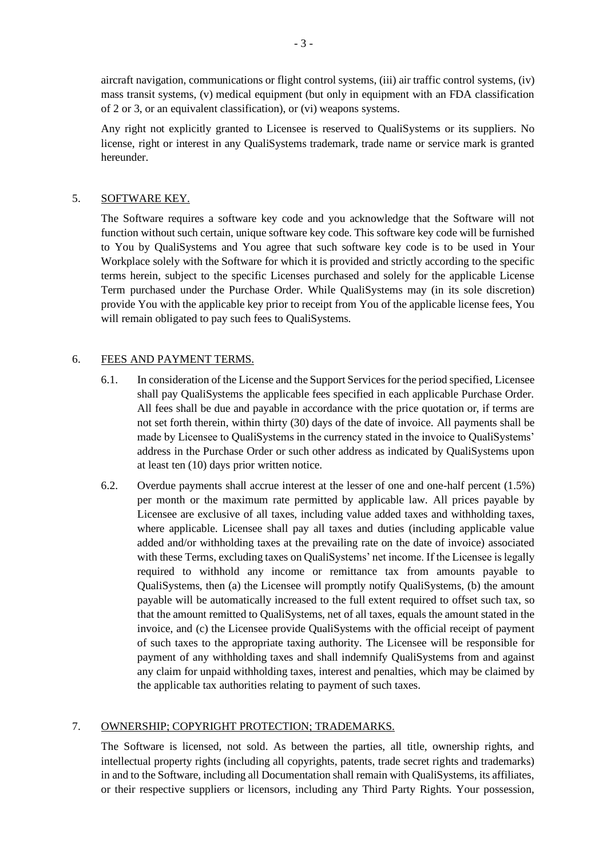aircraft navigation, communications or flight control systems, (iii) air traffic control systems, (iv) mass transit systems, (v) medical equipment (but only in equipment with an FDA classification of 2 or 3, or an equivalent classification), or (vi) weapons systems.

Any right not explicitly granted to Licensee is reserved to QualiSystems or its suppliers. No license, right or interest in any QualiSystems trademark, trade name or service mark is granted hereunder.

## 5. SOFTWARE KEY.

The Software requires a software key code and you acknowledge that the Software will not function without such certain, unique software key code. This software key code will be furnished to You by QualiSystems and You agree that such software key code is to be used in Your Workplace solely with the Software for which it is provided and strictly according to the specific terms herein, subject to the specific Licenses purchased and solely for the applicable License Term purchased under the Purchase Order. While QualiSystems may (in its sole discretion) provide You with the applicable key prior to receipt from You of the applicable license fees, You will remain obligated to pay such fees to QualiSystems.

### 6. FEES AND PAYMENT TERMS.

- 6.1. In consideration of the License and the Support Services for the period specified, Licensee shall pay QualiSystems the applicable fees specified in each applicable Purchase Order. All fees shall be due and payable in accordance with the price quotation or, if terms are not set forth therein, within thirty (30) days of the date of invoice. All payments shall be made by Licensee to QualiSystems in the currency stated in the invoice to QualiSystems' address in the Purchase Order or such other address as indicated by QualiSystems upon at least ten (10) days prior written notice.
- 6.2. Overdue payments shall accrue interest at the lesser of one and one-half percent (1.5%) per month or the maximum rate permitted by applicable law. All prices payable by Licensee are exclusive of all taxes, including value added taxes and withholding taxes, where applicable. Licensee shall pay all taxes and duties (including applicable value added and/or withholding taxes at the prevailing rate on the date of invoice) associated with these Terms, excluding taxes on QualiSystems' net income. If the Licensee is legally required to withhold any income or remittance tax from amounts payable to QualiSystems, then (a) the Licensee will promptly notify QualiSystems, (b) the amount payable will be automatically increased to the full extent required to offset such tax, so that the amount remitted to QualiSystems, net of all taxes, equals the amount stated in the invoice, and (c) the Licensee provide QualiSystems with the official receipt of payment of such taxes to the appropriate taxing authority. The Licensee will be responsible for payment of any withholding taxes and shall indemnify QualiSystems from and against any claim for unpaid withholding taxes, interest and penalties, which may be claimed by the applicable tax authorities relating to payment of such taxes.

#### 7. OWNERSHIP; COPYRIGHT PROTECTION; TRADEMARKS.

The Software is licensed, not sold. As between the parties, all title, ownership rights, and intellectual property rights (including all copyrights, patents, trade secret rights and trademarks) in and to the Software, including all Documentation shall remain with QualiSystems, its affiliates, or their respective suppliers or licensors, including any Third Party Rights. Your possession,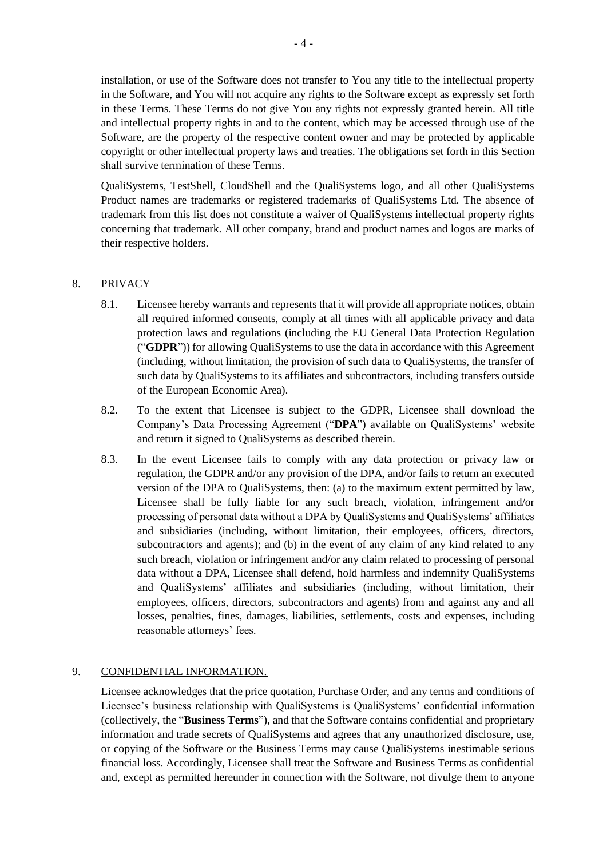installation, or use of the Software does not transfer to You any title to the intellectual property in the Software, and You will not acquire any rights to the Software except as expressly set forth in these Terms. These Terms do not give You any rights not expressly granted herein. All title and intellectual property rights in and to the content, which may be accessed through use of the Software, are the property of the respective content owner and may be protected by applicable copyright or other intellectual property laws and treaties. The obligations set forth in this Section shall survive termination of these Terms.

QualiSystems, TestShell, CloudShell and the QualiSystems logo, and all other QualiSystems Product names are trademarks or registered trademarks of QualiSystems Ltd. The absence of trademark from this list does not constitute a waiver of QualiSystems intellectual property rights concerning that trademark. All other company, brand and product names and logos are marks of their respective holders.

# 8. PRIVACY

- 8.1. Licensee hereby warrants and represents that it will provide all appropriate notices, obtain all required informed consents, comply at all times with all applicable privacy and data protection laws and regulations (including the EU General Data Protection Regulation ("**GDPR**")) for allowing QualiSystems to use the data in accordance with this Agreement (including, without limitation, the provision of such data to QualiSystems, the transfer of such data by QualiSystems to its affiliates and subcontractors, including transfers outside of the European Economic Area).
- 8.2. To the extent that Licensee is subject to the GDPR, Licensee shall download the Company's Data Processing Agreement ("**DPA**") available on QualiSystems' website and return it signed to QualiSystems as described therein.
- 8.3. In the event Licensee fails to comply with any data protection or privacy law or regulation, the GDPR and/or any provision of the DPA, and/or fails to return an executed version of the DPA to QualiSystems, then: (a) to the maximum extent permitted by law, Licensee shall be fully liable for any such breach, violation, infringement and/or processing of personal data without a DPA by QualiSystems and QualiSystems' affiliates and subsidiaries (including, without limitation, their employees, officers, directors, subcontractors and agents); and (b) in the event of any claim of any kind related to any such breach, violation or infringement and/or any claim related to processing of personal data without a DPA, Licensee shall defend, hold harmless and indemnify QualiSystems and QualiSystems' affiliates and subsidiaries (including, without limitation, their employees, officers, directors, subcontractors and agents) from and against any and all losses, penalties, fines, damages, liabilities, settlements, costs and expenses, including reasonable attorneys' fees.

# <span id="page-3-0"></span>9. CONFIDENTIAL INFORMATION.

Licensee acknowledges that the price quotation, Purchase Order, and any terms and conditions of Licensee's business relationship with QualiSystems is QualiSystems' confidential information (collectively, the "**Business Terms**"), and that the Software contains confidential and proprietary information and trade secrets of QualiSystems and agrees that any unauthorized disclosure, use, or copying of the Software or the Business Terms may cause QualiSystems inestimable serious financial loss. Accordingly, Licensee shall treat the Software and Business Terms as confidential and, except as permitted hereunder in connection with the Software, not divulge them to anyone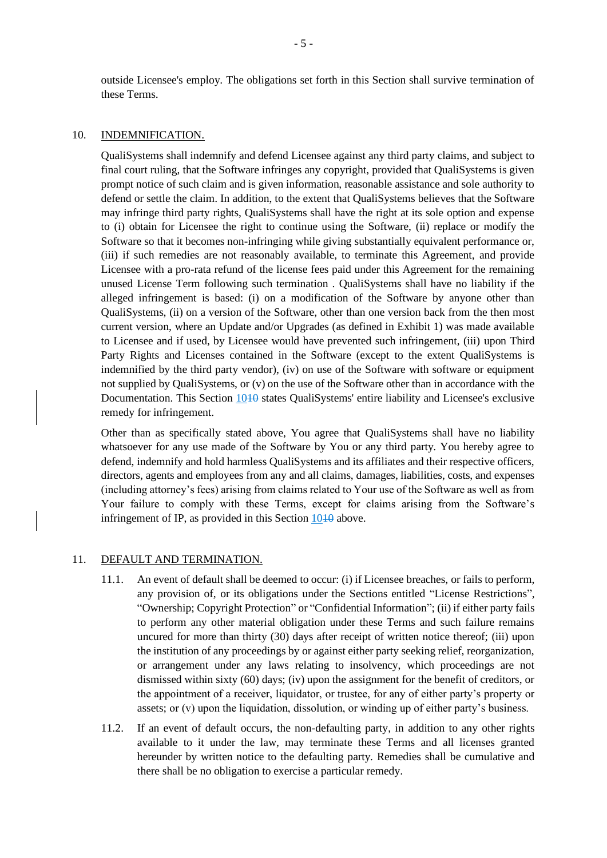outside Licensee's employ. The obligations set forth in this Section shall survive termination of these Terms.

#### <span id="page-4-0"></span>10. INDEMNIFICATION.

QualiSystems shall indemnify and defend Licensee against any third party claims, and subject to final court ruling, that the Software infringes any copyright, provided that QualiSystems is given prompt notice of such claim and is given information, reasonable assistance and sole authority to defend or settle the claim. In addition, to the extent that QualiSystems believes that the Software may infringe third party rights, QualiSystems shall have the right at its sole option and expense to (i) obtain for Licensee the right to continue using the Software, (ii) replace or modify the Software so that it becomes non-infringing while giving substantially equivalent performance or, (iii) if such remedies are not reasonably available, to terminate this Agreement, and provide Licensee with a pro-rata refund of the license fees paid under this Agreement for the remaining unused License Term following such termination . QualiSystems shall have no liability if the alleged infringement is based: (i) on a modification of the Software by anyone other than QualiSystems, (ii) on a version of the Software, other than one version back from the then most current version, where an Update and/or Upgrades (as defined in Exhibit 1) was made available to Licensee and if used, by Licensee would have prevented such infringement, (iii) upon Third Party Rights and Licenses contained in the Software (except to the extent QualiSystems is indemnified by the third party vendor), (iv) on use of the Software with software or equipment not supplied by QualiSystems, or (v) on the use of the Software other than in accordance with the Documentation. This Section 10<sup>10</sup> states QualiSystems' entire liability and Licensee's exclusive remedy for infringement.

Other than as specifically stated above, You agree that QualiSystems shall have no liability whatsoever for any use made of the Software by You or any third party. You hereby agree to defend, indemnify and hold harmless QualiSystems and its affiliates and their respective officers, directors, agents and employees from any and all claims, damages, liabilities, costs, and expenses (including attorney's fees) arising from claims related to Your use of the Software as well as from Your failure to comply with these Terms, except for claims arising from the Software's infringement of IP, as provided in this Section [1010](#page-4-0) above.

#### 11. DEFAULT AND TERMINATION.

- 11.1. An event of default shall be deemed to occur: (i) if Licensee breaches, or fails to perform, any provision of, or its obligations under the Sections entitled "License Restrictions", "Ownership; Copyright Protection" or "Confidential Information"; (ii) if either party fails to perform any other material obligation under these Terms and such failure remains uncured for more than thirty (30) days after receipt of written notice thereof; (iii) upon the institution of any proceedings by or against either party seeking relief, reorganization, or arrangement under any laws relating to insolvency, which proceedings are not dismissed within sixty (60) days; (iv) upon the assignment for the benefit of creditors, or the appointment of a receiver, liquidator, or trustee, for any of either party's property or assets; or (v) upon the liquidation, dissolution, or winding up of either party's business.
- 11.2. If an event of default occurs, the non-defaulting party, in addition to any other rights available to it under the law, may terminate these Terms and all licenses granted hereunder by written notice to the defaulting party. Remedies shall be cumulative and there shall be no obligation to exercise a particular remedy.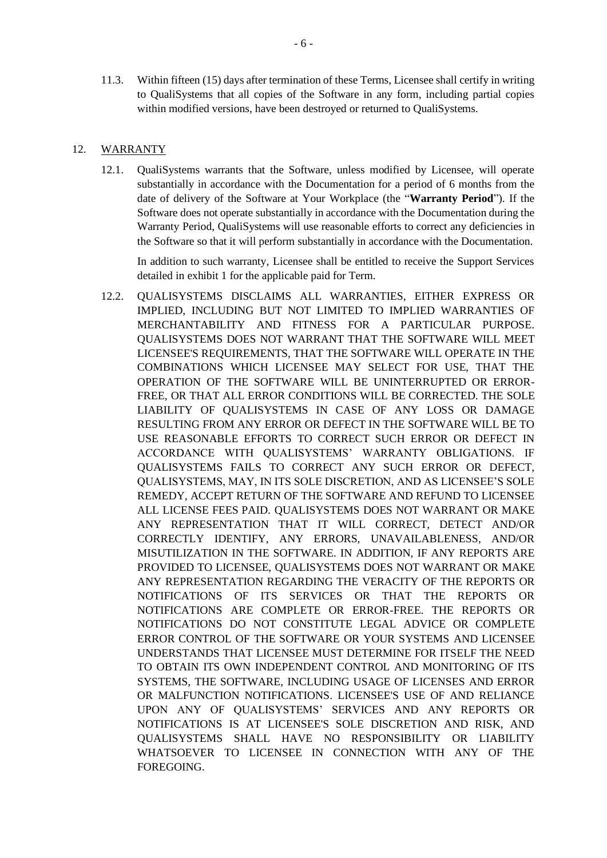11.3. Within fifteen (15) days after termination of these Terms, Licensee shall certify in writing to QualiSystems that all copies of the Software in any form, including partial copies within modified versions, have been destroyed or returned to QualiSystems.

#### <span id="page-5-0"></span>12. WARRANTY

12.1. QualiSystems warrants that the Software, unless modified by Licensee, will operate substantially in accordance with the Documentation for a period of 6 months from the date of delivery of the Software at Your Workplace (the "**Warranty Period**"). If the Software does not operate substantially in accordance with the Documentation during the Warranty Period, QualiSystems will use reasonable efforts to correct any deficiencies in the Software so that it will perform substantially in accordance with the Documentation.

In addition to such warranty, Licensee shall be entitled to receive the Support Services detailed in exhibit 1 for the applicable paid for Term.

12.2. QUALISYSTEMS DISCLAIMS ALL WARRANTIES, EITHER EXPRESS OR IMPLIED, INCLUDING BUT NOT LIMITED TO IMPLIED WARRANTIES OF MERCHANTABILITY AND FITNESS FOR A PARTICULAR PURPOSE. QUALISYSTEMS DOES NOT WARRANT THAT THE SOFTWARE WILL MEET LICENSEE'S REQUIREMENTS, THAT THE SOFTWARE WILL OPERATE IN THE COMBINATIONS WHICH LICENSEE MAY SELECT FOR USE, THAT THE OPERATION OF THE SOFTWARE WILL BE UNINTERRUPTED OR ERROR-FREE, OR THAT ALL ERROR CONDITIONS WILL BE CORRECTED. THE SOLE LIABILITY OF QUALISYSTEMS IN CASE OF ANY LOSS OR DAMAGE RESULTING FROM ANY ERROR OR DEFECT IN THE SOFTWARE WILL BE TO USE REASONABLE EFFORTS TO CORRECT SUCH ERROR OR DEFECT IN ACCORDANCE WITH QUALISYSTEMS' WARRANTY OBLIGATIONS. IF QUALISYSTEMS FAILS TO CORRECT ANY SUCH ERROR OR DEFECT, QUALISYSTEMS, MAY, IN ITS SOLE DISCRETION, AND AS LICENSEE'S SOLE REMEDY, ACCEPT RETURN OF THE SOFTWARE AND REFUND TO LICENSEE ALL LICENSE FEES PAID. QUALISYSTEMS DOES NOT WARRANT OR MAKE ANY REPRESENTATION THAT IT WILL CORRECT, DETECT AND/OR CORRECTLY IDENTIFY, ANY ERRORS, UNAVAILABLENESS, AND/OR MISUTILIZATION IN THE SOFTWARE. IN ADDITION, IF ANY REPORTS ARE PROVIDED TO LICENSEE, QUALISYSTEMS DOES NOT WARRANT OR MAKE ANY REPRESENTATION REGARDING THE VERACITY OF THE REPORTS OR NOTIFICATIONS OF ITS SERVICES OR THAT THE REPORTS OR NOTIFICATIONS ARE COMPLETE OR ERROR-FREE. THE REPORTS OR NOTIFICATIONS DO NOT CONSTITUTE LEGAL ADVICE OR COMPLETE ERROR CONTROL OF THE SOFTWARE OR YOUR SYSTEMS AND LICENSEE UNDERSTANDS THAT LICENSEE MUST DETERMINE FOR ITSELF THE NEED TO OBTAIN ITS OWN INDEPENDENT CONTROL AND MONITORING OF ITS SYSTEMS, THE SOFTWARE, INCLUDING USAGE OF LICENSES AND ERROR OR MALFUNCTION NOTIFICATIONS. LICENSEE'S USE OF AND RELIANCE UPON ANY OF QUALISYSTEMS' SERVICES AND ANY REPORTS OR NOTIFICATIONS IS AT LICENSEE'S SOLE DISCRETION AND RISK, AND QUALISYSTEMS SHALL HAVE NO RESPONSIBILITY OR LIABILITY WHATSOEVER TO LICENSEE IN CONNECTION WITH ANY OF THE **FOREGOING**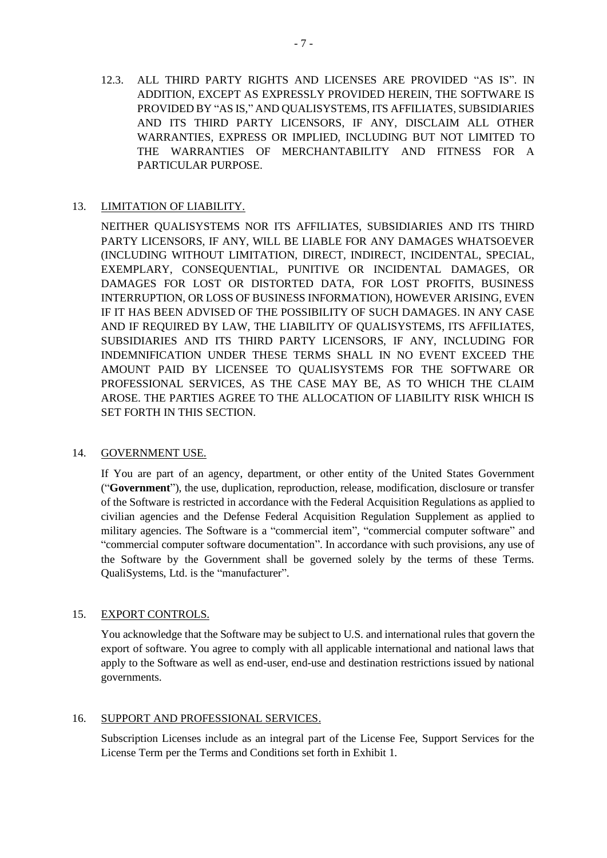12.3. ALL THIRD PARTY RIGHTS AND LICENSES ARE PROVIDED "AS IS". IN ADDITION, EXCEPT AS EXPRESSLY PROVIDED HEREIN, THE SOFTWARE IS PROVIDED BY "AS IS," AND QUALISYSTEMS, ITS AFFILIATES, SUBSIDIARIES AND ITS THIRD PARTY LICENSORS, IF ANY, DISCLAIM ALL OTHER WARRANTIES, EXPRESS OR IMPLIED, INCLUDING BUT NOT LIMITED TO THE WARRANTIES OF MERCHANTABILITY AND FITNESS FOR A PARTICULAR PURPOSE.

# 13. LIMITATION OF LIABILITY.

NEITHER QUALISYSTEMS NOR ITS AFFILIATES, SUBSIDIARIES AND ITS THIRD PARTY LICENSORS, IF ANY, WILL BE LIABLE FOR ANY DAMAGES WHATSOEVER (INCLUDING WITHOUT LIMITATION, DIRECT, INDIRECT, INCIDENTAL, SPECIAL, EXEMPLARY, CONSEQUENTIAL, PUNITIVE OR INCIDENTAL DAMAGES, OR DAMAGES FOR LOST OR DISTORTED DATA, FOR LOST PROFITS, BUSINESS INTERRUPTION, OR LOSS OF BUSINESS INFORMATION), HOWEVER ARISING, EVEN IF IT HAS BEEN ADVISED OF THE POSSIBILITY OF SUCH DAMAGES. IN ANY CASE AND IF REQUIRED BY LAW, THE LIABILITY OF QUALISYSTEMS, ITS AFFILIATES, SUBSIDIARIES AND ITS THIRD PARTY LICENSORS, IF ANY, INCLUDING FOR INDEMNIFICATION UNDER THESE TERMS SHALL IN NO EVENT EXCEED THE AMOUNT PAID BY LICENSEE TO QUALISYSTEMS FOR THE SOFTWARE OR PROFESSIONAL SERVICES, AS THE CASE MAY BE, AS TO WHICH THE CLAIM AROSE. THE PARTIES AGREE TO THE ALLOCATION OF LIABILITY RISK WHICH IS SET FORTH IN THIS SECTION.

# <span id="page-6-0"></span>14. GOVERNMENT USE.

If You are part of an agency, department, or other entity of the United States Government ("**Government**"), the use, duplication, reproduction, release, modification, disclosure or transfer of the Software is restricted in accordance with the Federal Acquisition Regulations as applied to civilian agencies and the Defense Federal Acquisition Regulation Supplement as applied to military agencies. The Software is a "commercial item", "commercial computer software" and "commercial computer software documentation". In accordance with such provisions, any use of the Software by the Government shall be governed solely by the terms of these Terms. QualiSystems, Ltd. is the "manufacturer".

# 15. EXPORT CONTROLS.

You acknowledge that the Software may be subject to U.S. and international rules that govern the export of software. You agree to comply with all applicable international and national laws that apply to the Software as well as end-user, end-use and destination restrictions issued by national governments.

#### <span id="page-6-1"></span>16. SUPPORT AND PROFESSIONAL SERVICES.

Subscription Licenses include as an integral part of the License Fee, Support Services for the License Term per the Terms and Conditions set forth in Exhibit 1.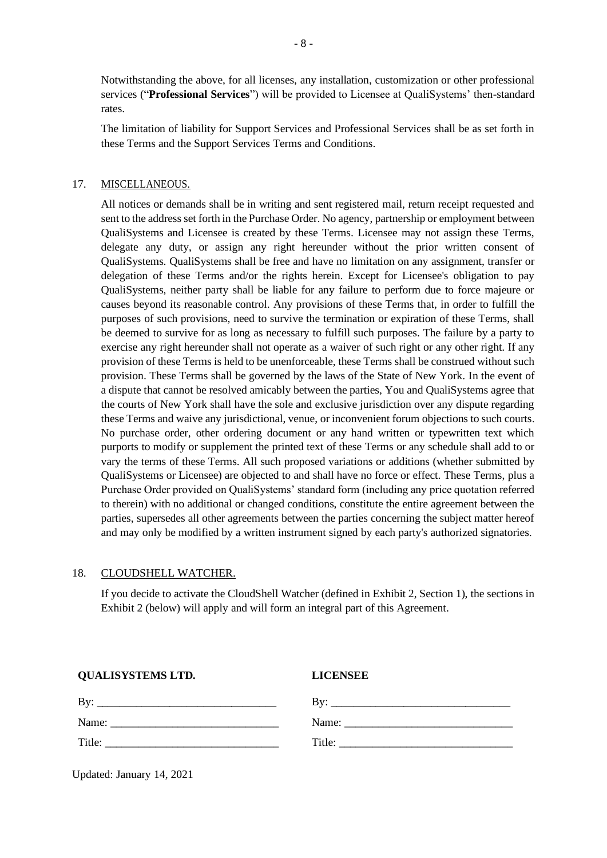Notwithstanding the above, for all licenses, any installation, customization or other professional services ("**Professional Services**") will be provided to Licensee at QualiSystems' then-standard rates.

The limitation of liability for Support Services and Professional Services shall be as set forth in these Terms and the Support Services Terms and Conditions.

## 17. MISCELLANEOUS.

All notices or demands shall be in writing and sent registered mail, return receipt requested and sent to the address set forth in the Purchase Order. No agency, partnership or employment between QualiSystems and Licensee is created by these Terms. Licensee may not assign these Terms, delegate any duty, or assign any right hereunder without the prior written consent of QualiSystems. QualiSystems shall be free and have no limitation on any assignment, transfer or delegation of these Terms and/or the rights herein. Except for Licensee's obligation to pay QualiSystems, neither party shall be liable for any failure to perform due to force majeure or causes beyond its reasonable control. Any provisions of these Terms that, in order to fulfill the purposes of such provisions, need to survive the termination or expiration of these Terms, shall be deemed to survive for as long as necessary to fulfill such purposes. The failure by a party to exercise any right hereunder shall not operate as a waiver of such right or any other right. If any provision of these Terms is held to be unenforceable, these Terms shall be construed without such provision. These Terms shall be governed by the laws of the State of New York. In the event of a dispute that cannot be resolved amicably between the parties, You and QualiSystems agree that the courts of New York shall have the sole and exclusive jurisdiction over any dispute regarding these Terms and waive any jurisdictional, venue, or inconvenient forum objections to such courts. No purchase order, other ordering document or any hand written or typewritten text which purports to modify or supplement the printed text of these Terms or any schedule shall add to or vary the terms of these Terms. All such proposed variations or additions (whether submitted by QualiSystems or Licensee) are objected to and shall have no force or effect. These Terms, plus a Purchase Order provided on QualiSystems' standard form (including any price quotation referred to therein) with no additional or changed conditions, constitute the entire agreement between the parties, supersedes all other agreements between the parties concerning the subject matter hereof and may only be modified by a written instrument signed by each party's authorized signatories.

### 18. CLOUDSHELL WATCHER.

If you decide to activate the CloudShell Watcher (defined in Exhibit 2, Section 1), the sections in Exhibit 2 (below) will apply and will form an integral part of this Agreement.

| <b>QUALISYSTEMS LTD.</b> | <b>LICENSEE</b> |
|--------------------------|-----------------|
|                          |                 |
|                          |                 |
|                          |                 |
|                          |                 |

Updated: January 14, 2021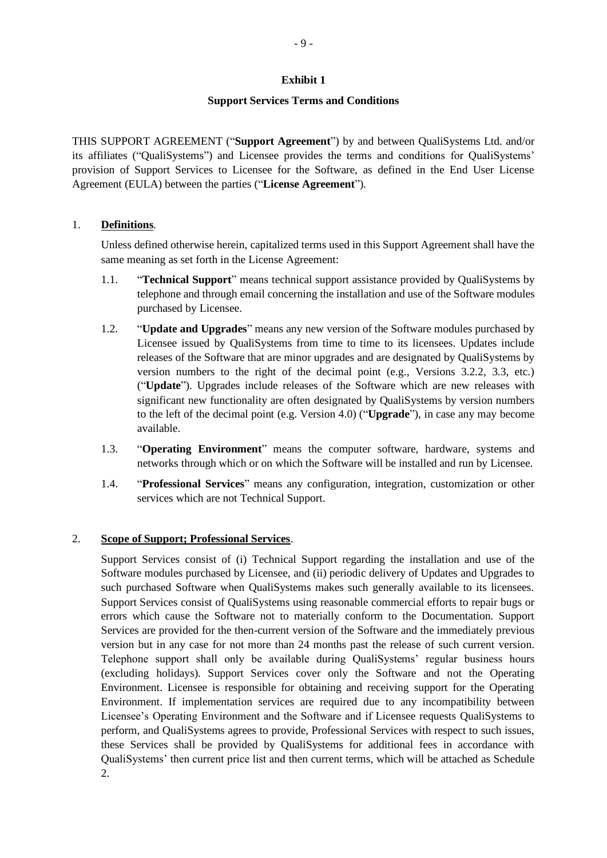### **Exhibit 1**

### **Support Services Terms and Conditions**

THIS SUPPORT AGREEMENT ("**Support Agreement**") by and between QualiSystems Ltd. and/or its affiliates ("QualiSystems") and Licensee provides the terms and conditions for QualiSystems' provision of Support Services to Licensee for the Software, as defined in the End User License Agreement (EULA) between the parties ("**License Agreement**").

# 1. **Definitions**.

Unless defined otherwise herein, capitalized terms used in this Support Agreement shall have the same meaning as set forth in the License Agreement:

- 1.1. "**Technical Support**" means technical support assistance provided by QualiSystems by telephone and through email concerning the installation and use of the Software modules purchased by Licensee.
- 1.2. "**Update and Upgrades**" means any new version of the Software modules purchased by Licensee issued by QualiSystems from time to time to its licensees. Updates include releases of the Software that are minor upgrades and are designated by QualiSystems by version numbers to the right of the decimal point (e.g., Versions 3.2.2, 3.3, etc.) ("**Update**"). Upgrades include releases of the Software which are new releases with significant new functionality are often designated by QualiSystems by version numbers to the left of the decimal point (e.g. Version 4.0) ("**Upgrade**"), in case any may become available.
- 1.3. "**Operating Environment**" means the computer software, hardware, systems and networks through which or on which the Software will be installed and run by Licensee.
- 1.4. "**Professional Services**" means any configuration, integration, customization or other services which are not Technical Support.

# 2. **Scope of Support; Professional Services**.

Support Services consist of (i) Technical Support regarding the installation and use of the Software modules purchased by Licensee, and (ii) periodic delivery of Updates and Upgrades to such purchased Software when QualiSystems makes such generally available to its licensees. Support Services consist of QualiSystems using reasonable commercial efforts to repair bugs or errors which cause the Software not to materially conform to the Documentation. Support Services are provided for the then-current version of the Software and the immediately previous version but in any case for not more than 24 months past the release of such current version. Telephone support shall only be available during QualiSystems' regular business hours (excluding holidays). Support Services cover only the Software and not the Operating Environment. Licensee is responsible for obtaining and receiving support for the Operating Environment. If implementation services are required due to any incompatibility between Licensee's Operating Environment and the Software and if Licensee requests QualiSystems to perform, and QualiSystems agrees to provide, Professional Services with respect to such issues, these Services shall be provided by QualiSystems for additional fees in accordance with QualiSystems' then current price list and then current terms, which will be attached as Schedule 2.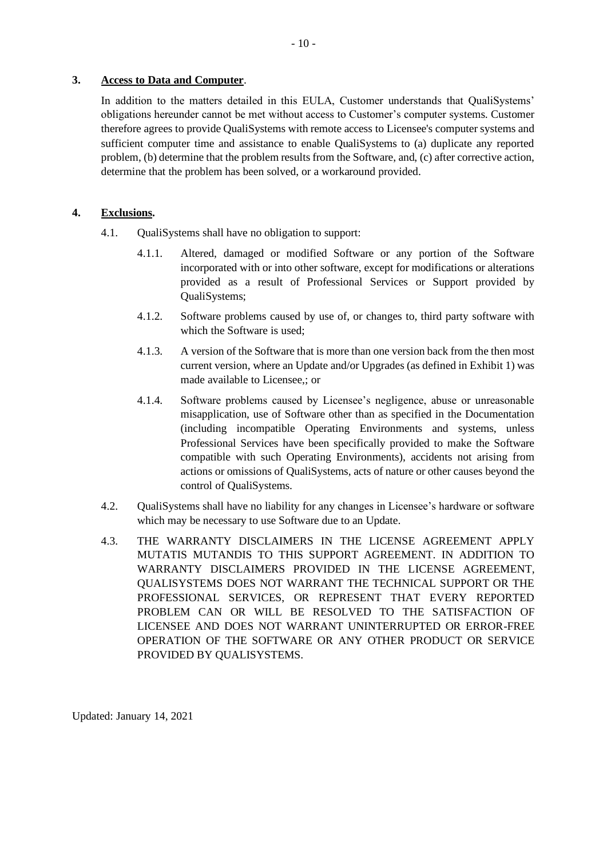### **3. Access to Data and Computer**.

In addition to the matters detailed in this EULA, Customer understands that QualiSystems' obligations hereunder cannot be met without access to Customer's computer systems. Customer therefore agrees to provide QualiSystems with remote access to Licensee's computer systems and sufficient computer time and assistance to enable QualiSystems to (a) duplicate any reported problem, (b) determine that the problem results from the Software, and, (c) after corrective action, determine that the problem has been solved, or a workaround provided.

## **4. Exclusions.**

- 4.1. QualiSystems shall have no obligation to support:
	- 4.1.1. Altered, damaged or modified Software or any portion of the Software incorporated with or into other software, except for modifications or alterations provided as a result of Professional Services or Support provided by QualiSystems;
	- 4.1.2. Software problems caused by use of, or changes to, third party software with which the Software is used;
	- 4.1.3. A version of the Software that is more than one version back from the then most current version, where an Update and/or Upgrades (as defined in Exhibit 1) was made available to Licensee,; or
	- 4.1.4. Software problems caused by Licensee's negligence, abuse or unreasonable misapplication, use of Software other than as specified in the Documentation (including incompatible Operating Environments and systems, unless Professional Services have been specifically provided to make the Software compatible with such Operating Environments), accidents not arising from actions or omissions of QualiSystems, acts of nature or other causes beyond the control of QualiSystems.
- 4.2. QualiSystems shall have no liability for any changes in Licensee's hardware or software which may be necessary to use Software due to an Update.
- 4.3. THE WARRANTY DISCLAIMERS IN THE LICENSE AGREEMENT APPLY MUTATIS MUTANDIS TO THIS SUPPORT AGREEMENT. IN ADDITION TO WARRANTY DISCLAIMERS PROVIDED IN THE LICENSE AGREEMENT, QUALISYSTEMS DOES NOT WARRANT THE TECHNICAL SUPPORT OR THE PROFESSIONAL SERVICES, OR REPRESENT THAT EVERY REPORTED PROBLEM CAN OR WILL BE RESOLVED TO THE SATISFACTION OF LICENSEE AND DOES NOT WARRANT UNINTERRUPTED OR ERROR-FREE OPERATION OF THE SOFTWARE OR ANY OTHER PRODUCT OR SERVICE PROVIDED BY QUALISYSTEMS.

Updated: January 14, 2021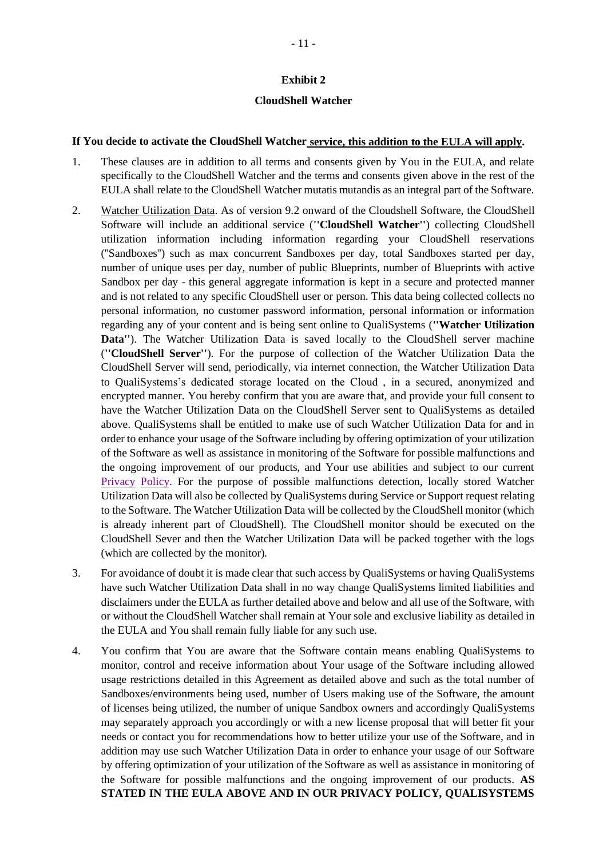#### **Exhibit 2**

#### **CloudShell Watcher**

#### **If You decide to activate the CloudShell Watcher service, this addition to the EULA will apply.**

- 1. These clauses are in addition to all terms and consents given by You in the EULA, and relate specifically to the CloudShell Watcher and the terms and consents given above in the rest of the EULA shall relate to the CloudShell Watcher mutatis mutandis as an integral part of the Software.
- 2. Watcher Utilization Data. As of version 9.2 onward of the Cloudshell Software, the CloudShell Software will include an additional service (**''CloudShell Watcher''**) collecting CloudShell utilization information including information regarding your CloudShell reservations (''Sandboxes'') such as max concurrent Sandboxes per day, total Sandboxes started per day, number of unique uses per day, number of public Blueprints, number of Blueprints with active Sandbox per day - this general aggregate information is kept in a secure and protected manner and is not related to any specific CloudShell user or person. This data being collected collects no personal information, no customer password information, personal information or information regarding any of your content and is being sent online to QualiSystems (**''Watcher Utilization Data''**). The Watcher Utilization Data is saved locally to the CloudShell server machine (**''CloudShell Server''**). For the purpose of collection of the Watcher Utilization Data the CloudShell Server will send, periodically, via internet connection, the Watcher Utilization Data to QualiSystems's dedicated storage located on the Cloud , in a secured, anonymized and encrypted manner. You hereby confirm that you are aware that, and provide your full consent to have the Watcher Utilization Data on the CloudShell Server sent to QualiSystems as detailed above. QualiSystems shall be entitled to make use of such Watcher Utilization Data for and in order to enhance your usage of the Software including by offering optimization of your utilization of the Software as well as assistance in monitoring of the Software for possible malfunctions and the ongoing improvement of our products, and Your use abilities and subject to our current Privacy Policy. For the purpose of possible malfunctions detection, locally stored Watcher Utilization Data will also be collected by QualiSystems during Service or Support request relating to the Software. The Watcher Utilization Data will be collected by the CloudShell monitor (which is already inherent part of CloudShell). The CloudShell monitor should be executed on the CloudShell Sever and then the Watcher Utilization Data will be packed together with the logs (which are collected by the monitor).
- 3. For avoidance of doubt it is made clear that such access by QualiSystems or having QualiSystems have such Watcher Utilization Data shall in no way change QualiSystems limited liabilities and disclaimers under the EULA as further detailed above and below and all use of the Software, with or without the CloudShell Watcher shall remain at Your sole and exclusive liability as detailed in the EULA and You shall remain fully liable for any such use.
- 4. You confirm that You are aware that the Software contain means enabling QualiSystems to monitor, control and receive information about Your usage of the Software including allowed usage restrictions detailed in this Agreement as detailed above and such as the total number of Sandboxes/environments being used, number of Users making use of the Software, the amount of licenses being utilized, the number of unique Sandbox owners and accordingly QualiSystems may separately approach you accordingly or with a new license proposal that will better fit your needs or contact you for recommendations how to better utilize your use of the Software, and in addition may use such Watcher Utilization Data in order to enhance your usage of our Software by offering optimization of your utilization of the Software as well as assistance in monitoring of the Software for possible malfunctions and the ongoing improvement of our products. **AS STATED IN THE EULA ABOVE AND IN OUR PRIVACY POLICY, QUALISYSTEMS**